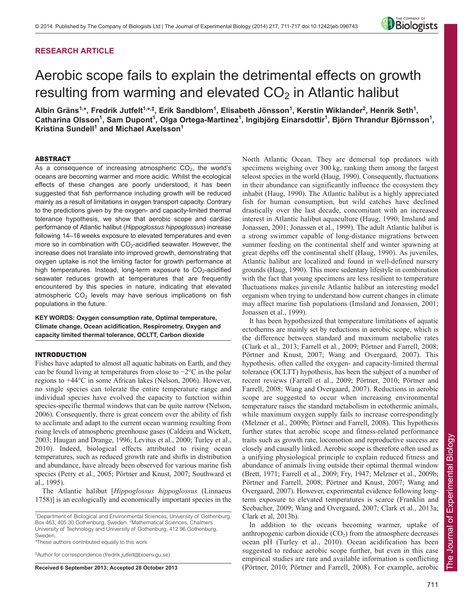# **RESEARCH ARTICLE**



# Aerobic scope fails to explain the detrimental effects on growth resulting from warming and elevated  $CO<sub>2</sub>$  in Atlantic halibut

Albin Gräns<sup>1,</sup>\*, Fredrik Jutfelt<sup>1,</sup>\*<sup>,‡</sup>, Erik Sandblom<sup>1</sup>, Elisabeth Jönsson<sup>1</sup>, Kerstin Wiklander<sup>2</sup>, Henrik Seth<sup>1</sup>, Catharina Olsson<sup>1</sup>, Sam Dupont<sup>1</sup>, Olga Ortega-Martinez<sup>1</sup>, Ingibjörg Einarsdottir<sup>1</sup>, Björn Thrandur Björnsson<sup>1</sup>, **Kristina Sundell<sup>1</sup> and Michael Axelsson<sup>1</sup>** 

# ABSTRACT

As a consequence of increasing atmospheric  $CO<sub>2</sub>$ , the world's oceans are becoming warmer and more acidic. Whilst the ecological effects of these changes are poorly understood, it has been suggested that fish performance including growth will be reduced mainly as a result of limitations in oxygen transport capacity. Contrary to the predictions given by the oxygen- and capacity-limited thermal tolerance hypothesis, we show that aerobic scope and cardiac performance of Atlantic halibut (*Hippoglossus hippoglossus*) increase following 14–16 weeks exposure to elevated temperatures and even more so in combination with  $CO<sub>2</sub>$ -acidified seawater. However, the increase does not translate into improved growth, demonstrating that oxygen uptake is not the limiting factor for growth performance at high temperatures. Instead, long-term exposure to  $CO<sub>2</sub>$ -acidified seawater reduces growth at temperatures that are frequently encountered by this species in nature, indicating that elevated atmospheric  $CO<sub>2</sub>$  levels may have serious implications on fish populations in the future.

**KEY WORDS: Oxygen consumption rate, Optimal temperature, Climate change, Ocean acidification, Respirometry, Oxygen and capacity limited thermal tolerance, OCLTT, Carbon dioxide**

# INTRODUCTION

Fishes have adapted to almost all aquatic habitats on Earth, and they can be found living at temperatures from close to −2°C in the polar regions to +44°C in some African lakes (Nelson, 2006). However, no single species can tolerate the entire temperature range and individual species have evolved the capacity to function within species-specific thermal windows that can be quite narrow (Nelson, 2006). Consequently, there is great concern over the ability of fish to acclimate and adapt to the current ocean warming resulting from rising levels of atmospheric greenhouse gases (Caldeira and Wickett, 2003; Haugan and Drange, 1996; Levitus et al., 2000; Turley et al., 2010). Indeed, biological effects attributed to rising ocean temperatures, such as reduced growth rate and shifts in distribution and abundance, have already been observed for various marine fish species (Perry et al., 2005; Pörtner and Knust, 2007; Southward et al., 1995).

The Atlantic halibut [*Hippoglossus hippoglossus* (Linnaeus 1758)] is an ecologically and economically important species in the

<sup>1</sup>Department of Biological and Environmental Sciences, University of Gothenburg, Box 463, 405 30 Gothenburg, Sweden. <sup>2</sup>Mathematical Sciences, Chalmers University of Technology and University of Gothenburg, 412 96 Gothenburg, Sweden.

\*These authors contributed equally to this work

‡ Author for correspondence (fredrik.jutfelt@bioenv.gu.se)

**Received 6 September 2013; Accepted 28 October 2013**

North Atlantic Ocean. They are demersal top predators with specimens weighing over 300 kg, ranking them among the largest teleost species in the world (Haug, 1990). Consequently, fluctuations in their abundance can significantly influence the ecosystem they inhabit (Haug, 1990). The Atlantic halibut is a highly appreciated fish for human consumption, but wild catches have declined drastically over the last decade, concomitant with an increased interest in Atlantic halibut aquaculture (Haug, 1990; Imsland and Jonassen, 2001; Jonassen et al., 1999). The adult Atlantic halibut is a strong swimmer capable of long-distance migrations between summer feeding on the continental shelf and winter spawning at great depths off the continental shelf (Haug, 1990). As juveniles, Atlantic halibut are localized and found in well-defined nursery grounds (Haug, 1990). This more sedentary lifestyle in combination with the fact that young specimens are less resilient to temperature fluctuations makes juvenile Atlantic halibut an interesting model organism when trying to understand how current changes in climate may affect marine fish populations (Imsland and Jonassen, 2001; Jonassen et al., 1999).

It has been hypothesized that temperature limitations of aquatic ectotherms are mainly set by reductions in aerobic scope, which is the difference between standard and maximum metabolic rates (Clark et al., 2013; Farrell et al., 2009; Pörtner and Farrell, 2008; Pörtner and Knust, 2007; Wang and Overgaard, 2007). This hypothesis, often called the oxygen- and capacity-limited thermal tolerance (OCLTT) hypothesis, has been the subject of a number of recent reviews (Farrell et al., 2009; Pörtner, 2010; Pörtner and Farrell, 2008; Wang and Overgaard, 2007). Reductions in aerobic scope are suggested to occur when increasing environmental temperature raises the standard metabolism in ectothermic animals, while maximum oxygen supply fails to increase correspondingly (Melzner et al., 2009b; Pörtner and Farrell, 2008). This hypothesis further states that aerobic scope and fitness-related performance traits such as growth rate, locomotion and reproductive success are closely and causally linked. Aerobic scope is therefore often used as a unifying physiological principle to explain reduced fitness and abundance of animals living outside their optimal thermal window (Brett, 1971; Farrell et al., 2009; Fry, 1947; Melzner et al., 2009b; Pörtner and Farrell, 2008; Pörtner and Knust, 2007; Wang and Overgaard, 2007). However, experimental evidence following longterm exposure to elevated temperatures is scarce (Franklin and Seebacher, 2009; Wang and Overgaard, 2007; Clark et al., 2013a; Clark et al, 2013b).

In addition to the oceans becoming warmer, uptake of anthropogenic carbon dioxide  $(CO<sub>2</sub>)$  from the atmosphere decreases ocean pH (Turley et al., 2010). Ocean acidification has been suggested to reduce aerobic scope further, but even in this case empirical studies are rare and available information is conflicting (Pörtner, 2010; Pörtner and Farrell, 2008). For example, aerobic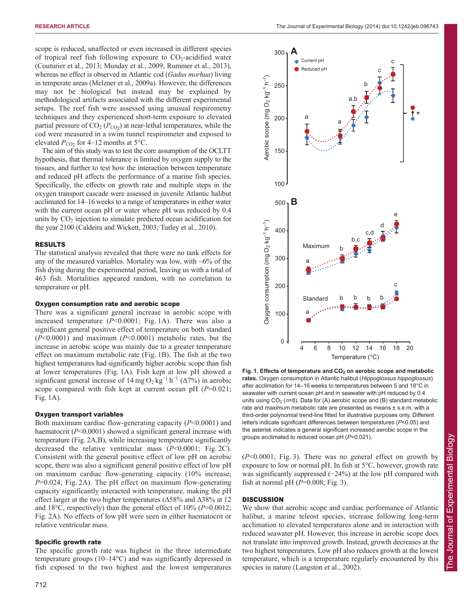scope is reduced, unaffected or even increased in different species of tropical reef fish following exposure to  $CO<sub>2</sub>$ -acidified water (Couturier et al., 2013; Munday et al., 2009; Rummer et al., 2013), whereas no effect is observed in Atlantic cod (*Gadus morhua*) living in temperate areas (Melzner et al., 2009a). However, the differences may not be biological but instead may be explained by methodological artifacts associated with the different experimental setups. The reef fish were assessed using unusual respirometry techniques and they experienced short-term exposure to elevated partial pressure of  $CO_2$  ( $P_{CO_2}$ ) at near-lethal temperatures, while the cod were measured in a swim tunnel respirometer and exposed to elevated  $P_{CO2}$  for 4–12 months at 5°C.

The aim of this study was to test the core assumption of the OCLTT hypothesis, that thermal tolerance is limited by oxygen supply to the tissues, and further to test how the interaction between temperature and reduced pH affects the performance of a marine fish species. Specifically, the effects on growth rate and multiple steps in the oxygen transport cascade were assessed in juvenile Atlantic halibut acclimated for 14–16 weeks to a range of temperatures in either water with the current ocean pH or water where pH was reduced by 0.4 units by  $CO<sub>2</sub>$  injection to simulate predicted ocean acidification for the year 2100 (Caldeira and Wickett, 2003; Turley et al., 2010).

#### RESULTS

The statistical analysis revealed that there were no tank effects for any of the measured variables. Mortality was low, with  $\sim 6\%$  of the fish dying during the experimental period, leaving us with a total of 463 fish. Mortalities appeared random, with no correlation to temperature or pH.

#### Oxygen consumption rate and aerobic scope

There was a significant general increase in aerobic scope with increased temperature (*P*<0.0001; Fig. 1A). There was also a significant general positive effect of temperature on both standard (*P*<0.0001) and maximum (*P*<0.0001) metabolic rates, but the increase in aerobic scope was mainly due to a greater temperature effect on maximum metabolic rate (Fig. 1B). The fish at the two highest temperatures had significantly higher aerobic scope than fish at lower temperatures (Fig. 1A). Fish kept at low pH showed a significant general increase of 14 mg O<sub>2</sub> kg<sup>-1</sup> h<sup>-1</sup> ( $\Delta$ 7%) in aerobic scope compared with fish kept at current ocean pH (*P*=0.021; Fig. 1A).

### Oxygen transport variables

Both maximum cardiac flow-generating capacity (*P*<0.0001) and haematocrit (*P*<0.0001) showed a significant general increase with temperature (Fig. 2A,B), while increasing temperature significantly decreased the relative ventricular mass (*P*<0.0001; Fig. 2C). Consistent with the general positive effect of low pH on aerobic scope, there was also a significant general positive effect of low pH on maximum cardiac flow-generating capacity (10% increase; *P*=0.024; Fig. 2A). The pH effect on maximum flow-generating capacity significantly interacted with temperature, making the pH effect larger at the two higher temperatures ( $\Delta$ 58% and  $\Delta$ 38% at 12 and 18°C, respectively) than the general effect of 10% (*P*=0.0012; Fig. 2A). No effects of low pH were seen in either haematocrit or relative ventricular mass.

#### Specific growth rate

The specific growth rate was highest in the three intermediate temperature groups (10–14°C) and was significantly depressed in fish exposed to the two highest and the lowest temperatures



Fig. 1. Effects of temperature and CO<sub>2</sub> on aerobic scope and metabolic **rates.** Oxygen consumption in Atlantic halibut (*Hippoglossus hippoglossus*) after acclimation for 14–16 weeks to temperatures between 5 and 18°C in seawater with current ocean pH and in seawater with pH reduced by 0.4 units using  $CO<sub>2</sub>$  ( $n=8$ ). Data for (A) aerobic scope and (B) standard metabolic rate and maximum metabolic rate are presented as means ± s.e.m. with a third-order polynomial trend-line fitted for illustrative purposes only. Different letters indicate significant differences between temperatures (*P*<0.05) and the asterisk indicates a general significant increased aerobic scope in the groups acclimated to reduced ocean pH (*P*=0.021).

(*P*<0.0001; Fig. 3). There was no general effect on growth by exposure to low or normal pH. In fish at 5°C, however, growth rate was significantly suppressed (−24%) at the low pH compared with fish at normal pH  $(P=0.008; Fig. 3)$ .

### **DISCUSSION**

We show that aerobic scope and cardiac performance of Atlantic halibut, a marine teleost species, increase following long-term acclimation to elevated temperatures alone and in interaction with reduced seawater pH. However, this increase in aerobic scope does not translate into improved growth. Instead, growth decreases at the two highest temperatures. Low pH also reduces growth at the lowest temperature, which is a temperature regularly encountered by this species in nature (Langston et al., 2002).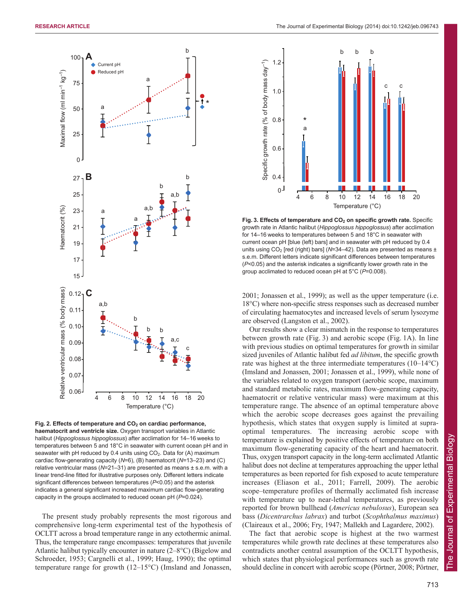

Fig. 2. Effects of temperature and CO<sub>2</sub> on cardiac performance, **haematocrit and ventricle size.** Oxygen transport variables in Atlantic halibut (*Hippoglossus hippoglossus*) after acclimation for 14–16 weeks to temperatures between 5 and 18°C in seawater with current ocean pH and in seawater with pH reduced by 0.4 units using  $CO<sub>2</sub>$ . Data for (A) maximum cardiac flow-generating capacity (*N*=6), (B) haematocrit (*N*=13–23) and (C) relative ventricular mass (*N*=21–31) are presented as means ± s.e.m. with a linear trend-line fitted for illustrative purposes only. Different letters indicate significant differences between temperatures (*P*<0.05) and the asterisk indicates a general significant increased maximum cardiac flow-generating capacity in the groups acclimated to reduced ocean pH (*P*=0.024).

The present study probably represents the most rigorous and comprehensive long-term experimental test of the hypothesis of OCLTT across a broad temperature range in any ectothermic animal. Thus, the temperature range encompasses: temperatures that juvenile Atlantic halibut typically encounter in nature (2–8°C) (Bigelow and Schroeder, 1953; Cargnelli et al., 1999; Haug, 1990); the optimal temperature range for growth (12–15°C) (Imsland and Jonassen,



Fig. 3. Effects of temperature and CO<sub>2</sub> on specific growth rate. Specific growth rate in Atlantic halibut (*Hippoglossus hippoglossus*) after acclimation for 14–16 weeks to temperatures between 5 and 18°C in seawater with current ocean pH [blue (left) bars] and in seawater with pH reduced by 0.4 units using CO<sub>2</sub> [red (right) bars] (N=34-42). Data are presented as means ± s.e.m. Different letters indicate significant differences between temperatures (*P*<0.05) and the asterisk indicates a significantly lower growth rate in the group acclimated to reduced ocean pH at 5°C (*P*=0.008).

2001; Jonassen et al., 1999); as well as the upper temperature (i.e. 18°C) where non-specific stress responses such as decreased number of circulating haematocytes and increased levels of serum lysozyme are observed (Langston et al., 2002).

Our results show a clear mismatch in the response to temperatures between growth rate (Fig. 3) and aerobic scope (Fig. 1A). In line with previous studies on optimal temperatures for growth in similar sized juveniles of Atlantic halibut fed *ad libitum*, the specific growth rate was highest at the three intermediate temperatures (10–14°C) (Imsland and Jonassen, 2001; Jonassen et al., 1999), while none of the variables related to oxygen transport (aerobic scope, maximum and standard metabolic rates, maximum flow-generating capacity, haematocrit or relative ventricular mass) were maximum at this temperature range. The absence of an optimal temperature above which the aerobic scope decreases goes against the prevailing hypothesis, which states that oxygen supply is limited at supraoptimal temperatures. The increasing aerobic scope with temperature is explained by positive effects of temperature on both maximum flow-generating capacity of the heart and haematocrit. Thus, oxygen transport capacity in the long-term acclimated Atlantic halibut does not decline at temperatures approaching the upper lethal temperatures as been reported for fish exposed to acute temperature increases (Eliason et al., 2011; Farrell, 2009). The aerobic scope–temperature profiles of thermally acclimated fish increase with temperature up to near-lethal temperatures, as previously reported for brown bullhead (*Americus nebulosus*), European sea bass (*Dicentrarchus labrax*) and turbot (*Scophthalmus maximus*) (Claireaux et al., 2006; Fry, 1947; Mallekh and Lagardere, 2002).

The fact that aerobic scope is highest at the two warmest temperatures while growth rate declines at these temperatures also contradicts another central assumption of the OCLTT hypothesis, which states that physiological performances such as growth rate should decline in concert with aerobic scope (Pörtner, 2008; Pörtner,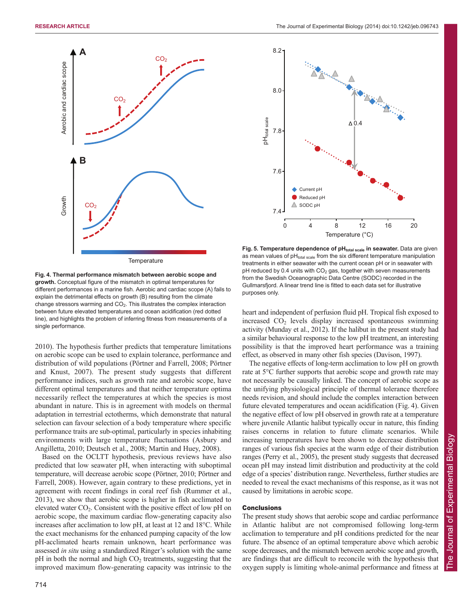

**Fig. 4. Thermal performance mismatch between aerobic scope and growth.** Conceptual figure of the mismatch in optimal temperatures for different performances in a marine fish. Aerobic and cardiac scope (A) fails to explain the detrimental effects on growth (B) resulting from the climate change stressors warming and  $CO<sub>2</sub>$ . This illustrates the complex interaction between future elevated temperatures and ocean acidification (red dotted line), and highlights the problem of inferring fitness from measurements of a single performance.

2010). The hypothesis further predicts that temperature limitations on aerobic scope can be used to explain tolerance, performance and distribution of wild populations (Pörtner and Farrell, 2008; Pörtner and Knust, 2007). The present study suggests that different performance indices, such as growth rate and aerobic scope, have different optimal temperatures and that neither temperature optima necessarily reflect the temperatures at which the species is most abundant in nature. This is in agreement with models on thermal adaptation in terrestrial ectotherms, which demonstrate that natural selection can favour selection of a body temperature where specific performance traits are sub-optimal, particularly in species inhabiting environments with large temperature fluctuations (Asbury and Angilletta, 2010; Deutsch et al., 2008; Martin and Huey, 2008).

Based on the OCLTT hypothesis, previous reviews have also predicted that low seawater pH, when interacting with suboptimal temperature, will decrease aerobic scope (Pörtner, 2010; Pörtner and Farrell, 2008). However, again contrary to these predictions, yet in agreement with recent findings in coral reef fish (Rummer et al., 2013), we show that aerobic scope is higher in fish acclimated to elevated water  $CO<sub>2</sub>$ . Consistent with the positive effect of low pH on aerobic scope, the maximum cardiac flow-generating capacity also increases after acclimation to low pH, at least at 12 and 18°C. While the exact mechanisms for the enhanced pumping capacity of the low pH-acclimated hearts remain unknown, heart performance was assessed *in situ* using a standardized Ringer's solution with the same  $pH$  in both the normal and high  $CO<sub>2</sub>$  treatments, suggesting that the improved maximum flow-generating capacity was intrinsic to the



**Fig.** 5. Temperature dependence of pH<sub>total scale</sub> in seawater. Data are given as mean values of  $pH_{total scale}$  from the six different temperature manipulation treatments in either seawater with the current ocean pH or in seawater with pH reduced by 0.4 units with  $CO<sub>2</sub>$  gas, together with seven measurements from the Swedish Oceanographic Data Centre (SODC) recorded in the Gullmarsfjord. A linear trend line is fitted to each data set for illustrative purposes only.

heart and independent of perfusion fluid pH. Tropical fish exposed to increased  $CO<sub>2</sub>$  levels display increased spontaneous swimming activity (Munday et al., 2012). If the halibut in the present study had a similar behavioural response to the low pH treatment, an interesting possibility is that the improved heart performance was a training effect, as observed in many other fish species (Davison, 1997).

The negative effects of long-term acclimation to low pH on growth rate at 5°C further supports that aerobic scope and growth rate may not necessarily be causally linked. The concept of aerobic scope as the unifying physiological principle of thermal tolerance therefore needs revision, and should include the complex interaction between future elevated temperatures and ocean acidification (Fig. 4). Given the negative effect of low pH observed in growth rate at a temperature where juvenile Atlantic halibut typically occur in nature, this finding raises concerns in relation to future climate scenarios. While increasing temperatures have been shown to decrease distribution ranges of various fish species at the warm edge of their distribution ranges (Perry et al., 2005), the present study suggests that decreased ocean pH may instead limit distribution and productivity at the cold edge of a species' distribution range. Nevertheless, further studies are needed to reveal the exact mechanisms of this response, as it was not caused by limitations in aerobic scope.

# **Conclusions**

The present study shows that aerobic scope and cardiac performance in Atlantic halibut are not compromised following long-term acclimation to temperature and pH conditions predicted for the near future. The absence of an optimal temperature above which aerobic scope decreases, and the mismatch between aerobic scope and growth, are findings that are difficult to reconcile with the hypothesis that oxygen supply is limiting whole-animal performance and fitness at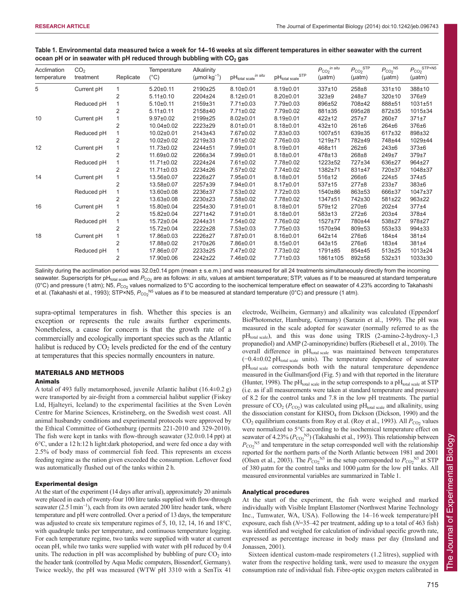| Acclimation<br>temperature | CO <sub>2</sub><br>treatment | Replicate      | Temperature<br>$(^{\circ}C)$ | Alkalinity<br>( $\mu$ mol kg <sup>-1</sup> ) | $\text{pH}_\text{total scale}^{\text{in situ}}$ | $\text{pH}_\text{total scale}^\text{STP}$ | $P_{CO_2}$ in situ<br>$(\mu atm)$ | $P_{CO_2}^{\quad \quad \text{STP}}$<br>(µatm) | $P_{CO_2}$ <sup>N5</sup><br>$(\mu atm)$ | $P_{CO2}$ STP×N5<br>$(\mu atm)$ |
|----------------------------|------------------------------|----------------|------------------------------|----------------------------------------------|-------------------------------------------------|-------------------------------------------|-----------------------------------|-----------------------------------------------|-----------------------------------------|---------------------------------|
| 5                          | Current pH                   |                | $5.20 \pm 0.11$              | 2190±25                                      | $8.10 \pm 0.01$                                 | $8.19 \pm 0.01$                           | $337 \pm 10$                      | $258 + 8$                                     | $331 \pm 10$                            | 388±10                          |
|                            |                              | $\overline{2}$ | $5.11 \pm 0.10$              | 2204±24                                      | $8.12 \pm 0.01$                                 | $8.20 \pm 0.01$                           | $323 + 9$                         | 248±7                                         | 320±10                                  | 376±9                           |
|                            | Reduced pH                   |                | $5.10+0.11$                  | 2159±31                                      | $7.71 \pm 0.03$                                 | 7.79±0.03                                 | 896±52                            | 708±42                                        | 888±51                                  | 1031±51                         |
|                            |                              | 2              | $5.11 \pm 0.11$              | 2158±40                                      | 7.71±0.02                                       | 7.79±0.02                                 | 881±35                            | 695±28                                        | 872±35                                  | $1015 \pm 34$                   |
| 10                         | Current pH                   |                | $9.97 \pm 0.02$              | 2199±25                                      | $8.02 \pm 0.01$                                 | $8.19 \pm 0.01$                           | $422 + 12$                        | $257 + 7$                                     | 260±7                                   | $371 + 7$                       |
|                            |                              | $\overline{2}$ | $10.04 \pm 0.02$             | 2223±29                                      | $8.01 \pm 0.01$                                 | $8.18 \pm 0.01$                           | $432 + 10$                        | $261 + 6$                                     | $264 + 6$                               | 376±6                           |
|                            | Reduced pH                   |                | 10.02±0.01                   | 2143±43                                      | 7.67±0.02                                       | 7.83±0.03                                 | 1007±51                           | 639±35                                        | 617±32                                  | 898±32                          |
|                            |                              | 2              | 10.02±0.02                   | 2219±33                                      | 7.61±0.02                                       | 7.76±0.03                                 | 1219±71                           | 782±49                                        | 748±44                                  | 1029±44                         |
| 12                         | Current pH                   |                | 11.73±0.02                   | 2244±51                                      | 7.99±0.01                                       | $8.19 \pm 0.01$                           | $468 + 11$                        | $262 + 6$                                     | 243±6                                   | $373 + 6$                       |
|                            |                              | $\overline{2}$ | 11.69±0.02                   | 2266±34                                      | 7.99±0.01                                       | $8.18 \pm 0.01$                           | 478±13                            | 268±8                                         | 249±7                                   | 379±7                           |
|                            | Reduced pH                   |                | 11.71±0.02                   | 2224±24                                      | 7.61±0.02                                       | 7.78±0.02                                 | 1223±52                           | 727±34                                        | 636±27                                  | 964±27                          |
|                            |                              | 2              | 11.71±0.03                   | 2234±26                                      | 7.57±0.02                                       | 7.74±0.02                                 | 1382±71                           | 831±47                                        | 720±37                                  | 1048±37                         |
| 14                         | Current pH                   |                | 13.56±0.07                   | 2226±27                                      | 7.95±0.01                                       | $8.18 \pm 0.01$                           | 516±12                            | 266±6                                         | $224 \pm 5$                             | 374±5                           |
|                            |                              | $\overline{2}$ | 13.58±0.07                   | 2257±39                                      | 7.94±0.01                                       | $8.17 \pm 0.01$                           | $537+15$                          | $277 + 8$                                     | $233 + 7$                               | 383±6                           |
|                            | Reduced pH                   |                | 13.60±0.08                   | 2236±37                                      | 7.53±0.02                                       | 7.72±0.03                                 | 1540±86                           | 863±53                                        | 666±37                                  | 1047±37                         |
|                            |                              | 2              | 13.63±0.08                   | 2230±23                                      | 7.58±0.02                                       | 7.78±0.02                                 | 1347±51                           | 742±30                                        | 581±22                                  | 963±22                          |
| 16                         | Current pH                   |                | 15.80±0.04                   | 2254±30                                      | 7.91±0.01                                       | $8.18 \pm 0.01$                           | 579±12                            | $270 + 6$                                     | $202\pm4$                               | 377±4                           |
|                            |                              | $\overline{2}$ | 15.82±0.04                   | 2271±42                                      | $7.91 \pm 0.01$                                 | $8.18 \pm 0.01$                           | 583±13                            | $272 + 6$                                     | 203±4                                   | 378±4                           |
|                            | Reduced pH                   |                | 15.72±0.04                   | 2244±31                                      | $7.54 \pm 0.02$                                 | 7.76±0.02                                 | 1527±77                           | 780±44                                        | 538±27                                  | 978±27                          |
|                            |                              | 2              | 15.72±0.04                   | 2222±28                                      | 7.53±0.03                                       | 7.75±0.03                                 | 1570±94                           | 809±53                                        | 553±33                                  | 994±33                          |
| 18                         | Current pH                   |                | 17.86±0.03                   | 2226±27                                      | 7.87±0.01                                       | $8.16 \pm 0.01$                           | 642±14                            | $276 + 6$                                     | 184±4                                   | 381±4                           |
|                            |                              | $\overline{2}$ | 17.88±0.02                   | 2170±26                                      | 7.86±0.01                                       | $8.15 \pm 0.01$                           | $643 \pm 15$                      | $276 + 6$                                     | 183±4                                   | 381±4                           |
|                            | Reduced pH                   |                | 17.86±0.07                   | 2233±25                                      | 7.47±0.02                                       | 7.73±0.02                                 | 1791±85                           | 854±45                                        | $513 \pm 25$                            | 1013±24                         |
|                            |                              | $\overline{2}$ | 17.90±0.06                   | 2242±22                                      | 7.46±0.02                                       | $7.71 \pm 0.03$                           | 1861±105                          | 892±58                                        | $532 + 31$                              | $1033 \pm 30$                   |

## **Table 1. Environmental data measured twice a week for 14–16 weeks at six different temperatures in either seawater with the current ocean pH or in seawater with pH reduced through bubbling with CO<sub>2</sub> gas**

Salinity during the acclimation period was 32.0±0.14 ppm (mean ± s.e.m.) and was measured for all 24 treatments simultaneously directly from the incoming seawater. Superscripts for pH<sub>total scale</sub> and P<sub>CO2</sub> are as follows: *in situ*, values at ambient temperature; STP, values as if to be measured at standard temperature (0°C) and pressure (1 atm); N5, P<sub>CO2</sub> values normalized to 5°C according to the isochemical temperature effect on seawater of 4.23% according to Takahashi et al. (Takahashi et al., 1993); STP×N5,  $P_{\rm CO2}{}^{\rm N5}$  values as if to be measured at standard temperature (0°C) and pressure (1 atm).

supra-optimal temperatures in fish. Whether this species is an exception or represents the rule awaits further experiments. Nonetheless, a cause for concern is that the growth rate of a commercially and ecologically important species such as the Atlantic halibut is reduced by  $CO<sub>2</sub>$  levels predicted for the end of the century at temperatures that this species normally encounters in nature.

#### MATERIALS AND METHODS

#### Animals

A total of 493 fully metamorphosed, juvenile Atlantic halibut (16.4±0.2 g) were transported by air-freight from a commercial halibut supplier (Fiskey Ltd, Hjalteyri, Iceland) to the experimental facilities at the Sven Lovén Centre for Marine Sciences, Kristineberg, on the Swedish west coast. All animal husbandry conditions and experimental protocols were approved by the Ethical Committee of Gothenburg (permits 221-2010 and 329-2010). The fish were kept in tanks with flow-through seawater  $(32.0\pm0.14$  ppt) at 6°C, under a 12 h:12 h light:dark photoperiod, and were fed once a day with 2.5% of body mass of commercial fish feed. This represents an excess feeding regime as the ration given exceeded the consumption. Leftover food was automatically flushed out of the tanks within 2 h.

#### Experimental design

At the start of the experiment (14 days after arrival), approximately 20 animals were placed in each of twenty-four 100 litre tanks supplied with flow-through seawater (2.5 l min<sup>-1</sup>), each from its own aerated 200 litre header tank, where temperature and pH were controlled. Over a period of 13 days, the temperature was adjusted to create six temperature regimes of 5, 10, 12, 14, 16 and 18°C, with quadruple tanks per temperature, and continuous temperature logging. For each temperature regime, two tanks were supplied with water at current ocean pH, while two tanks were supplied with water with pH reduced by 0.4 units. The reduction in pH was accomplished by bubbling of pure  $CO<sub>2</sub>$  into the header tank (controlled by Aqua Medic computers, Bissendorf, Germany). Twice weekly, the pH was measured (WTW pH 3310 with a SenTix 41

electrode, Weilheim, Germany) and alkalinity was calculated (Eppendorf BioPhotometer, Hamburg, Germany) (Sarazin et al., 1999). The pH was measured in the scale adopted for seawater (normally referred to as the pH<sub>total scale</sub>), and this was done using TRIS (2-amino-2-hydroxy-1,3) propanediol) and AMP (2-aminopyridine) buffers (Riebesell et al., 2010). The overall difference in pHtotal scale was maintained between temperatures  $(-0.4\pm0.02 \text{ pH}_{\text{total scale}})$  units). The temperature dependence of seawater  $pH_{total scale}$  corresponds both with the natural temperature dependence measured in the Gullmarsfjord (Fig. 5) and with that reported in the literature (Hunter, 1998). The pH<sub>total scale</sub> in the setup corresponds to a pH<sub>total scale</sub> at STP (i.e. as if all measurements were taken at standard temperature and pressure) of 8.2 for the control tanks and 7.8 in the low pH treatments. The partial pressure of  $CO_2$  ( $P_{CO_2}$ ) was calculated using pH<sub>total scale</sub> and alkalinity, using the dissociation constant for KHSO<sub>4</sub> from Dickson (Dickson, 1990) and the  $CO<sub>2</sub>$  equilibrium constants from Roy et al. (Roy et al., 1993). All  $P<sub>CO</sub>$  values were normalized to 5°C according to the isochemical temperature effect on seawater of 4.23% ( $P_{\text{CO}_2}^{\text{NS}}$ ) (Takahashi et al., 1993). This relationship between  $P_{\text{CO}_2}^{\text{NS}}$  and temperature in the setup corresponded well with the relationship reported for the northern parts of the North Atlantic between 1981 and 2001 (Olsen et al., 2003). The  $P_{CO_2}^{NS}$  in the setup corresponded to  $P_{CO_2}^{NS}$  at STP of 380 μatm for the control tanks and 1000 μatm for the low pH tanks. All measured environmental variables are summarized in Table 1.

### Analytical procedures

At the start of the experiment, the fish were weighed and marked individually with Visible Implant Elastomer (Northwest Marine Technology Inc., Tumwater, WA, USA). Following the 14–16 week temperature/pH exposure, each fish (*N*=35–42 per treatment, adding up to a total of 463 fish) was identified and weighed for calculation of individual specific growth rate, expressed as percentage increase in body mass per day (Imsland and Jonassen, 2001).

Sixteen identical custom-made respirometers (1.2 litres), supplied with water from the respective holding tank, were used to measure the oxygen consumption rate of individual fish. Fibre-optic oxygen meters calibrated in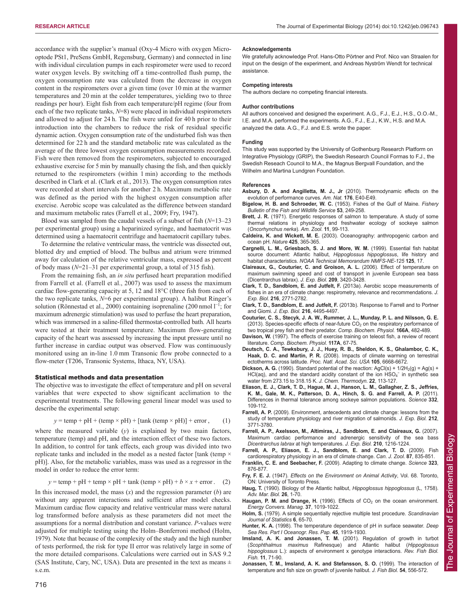accordance with the supplier's manual (Oxy-4 Micro with oxygen Microoptode PSt1, PreSens GmbH, Regensburg, Germany) and connected in line with individual circulation pumps in each respirometer were used to record water oxygen levels. By switching off a time-controlled flush pump, the oxygen consumption rate was calculated from the decrease in oxygen content in the respirometers over a given time (over 10 min at the warmer temperatures and 20 min at the colder temperatures, yielding two to three readings per hour). Eight fish from each temperature/pH regime (four from each of the two replicate tanks, *N*=8) were placed in individual respirometers and allowed to adjust for 24 h. The fish were unfed for 40 h prior to their introduction into the chambers to reduce the risk of residual specific dynamic action. Oxygen consumption rate of the undisturbed fish was then determined for 22 h and the standard metabolic rate was calculated as the average of the three lowest oxygen consumption measurements recorded. Fish were then removed from the respirometers, subjected to encouraged exhaustive exercise for 5 min by manually chasing the fish, and then quickly returned to the respirometers (within 1 min) according to the methods described in Clark et al. (Clark et al., 2013). The oxygen consumption rates were recorded at short intervals for another 2 h. Maximum metabolic rate was defined as the period with the highest oxygen consumption after exercise. Aerobic scope was calculated as the difference between standard and maximum metabolic rates (Farrell et al., 2009; Fry, 1947).

Blood was sampled from the caudal vessels of a subset of fish (*N*=13–23 per experimental group) using a heparinized syringe, and haematocrit was determined using a haematocrit centrifuge and haematocrit capillary tubes.

To determine the relative ventricular mass, the ventricle was dissected out, blotted dry and emptied of blood. The bulbus and atrium were trimmed away for calculation of the relative ventricular mass, expressed as percent of body mass (*N*=21–31 per experimental group, a total of 315 fish).

From the remaining fish, an *in situ* perfused heart preparation modified from Farrell et al. (Farrell et al., 2007) was used to assess the maximum cardiac flow-generating capacity at 5, 12 and 18°C (three fish from each of the two replicate tanks, *N*=6 per experimental group). A halibut Ringer's solution (Rönnestad et al., 2000) containing isoprenaline (200 nmol  $l^{-1}$ ; for maximum adrenergic stimulation) was used to perfuse the heart preparation, which was immersed in a saline-filled thermostat-controlled bath. All hearts were tested at their treatment temperature. Maximum flow-generating capacity of the heart was assessed by increasing the input pressure until no further increase in cardiac output was observed. Flow was continuously monitored using an in-line 1.0 mm Transonic flow probe connected to a flow-meter (T206, Transonic Systems, Ithaca, NY, USA).

#### Statistical methods and data presentation

The objective was to investigate the effect of temperature and pH on several variables that were expected to show significant acclimation to the experimental treatments. The following general linear model was used to describe the experimental setup:

$$
y = temp + pH + (temp \times pH) + [tank (temp \times pH)] + error, \qquad (1)
$$

where the measured variable (*y*) is explained by two main factors, temperature (temp) and pH, and the interaction effect of these two factors. In addition, to control for tank effects, each group was divided into two replicate tanks and included in the model as a nested factor [tank (temp  $\times$ pH)]. Also, for the metabolic variables, mass was used as a regressor in the model in order to reduce the error term:

$$
y = temp + pH + temp \times pH + tank (temp \times pH) + b \times x + error. \quad (2)
$$

In this increased model, the mass (*x*) and the regression parameter (*b*) are without any apparent interactions and sufficient after model checks. Maximum cardiac flow capacity and relative ventricular mass were natural log transformed before analysis as these parameters did not meet the assumptions for a normal distribution and constant variance. *P*-values were adjusted for multiple testing using the Holm–Bonferroni method (Holm, 1979). Note that because of the complexity of the study and the high number of tests performed, the risk for type II error was relatively large in some of the more detailed comparisons. Calculations were carried out in SAS 9.2 (SAS Institute, Cary, NC, USA). Data are presented in the text as means  $\pm$ s.e.m.

#### **Acknowledgements**

We gratefully acknowledge Prof. Hans-Otto Pörtner and Prof. Nico van Straalen for input on the design of the experiment, and Andreas Nyström Wendt for technical assistance.

#### **Competing interests**

The authors declare no competing financial interests.

#### **Author contributions**

All authors conceived and designed the experiment. A.G., F.J., E.J., H.S., O.O.-M., I.E. and M.A. performed the experiments. A.G., F.J., E.J., K.W., H.S. and M.A. analyzed the data. A.G., F.J. and E.S. wrote the paper.

#### **Funding**

This study was supported by the University of Gothenburg Research Platform on Integrative Physiology (GRIP), the Swedish Research Council Formas to F.J., the Swedish Reseach Council to M.A., the Magnus Bergvall Foundation, and the Wilhelm and Martina Lundgren Foundation.

#### **References**

- **Asbury, D. A. and Angilletta, M. J., Jr** (2010). Thermodynamic effects on the evolution of performance curves. *Am. Nat.* **176**, E40-E49.
- **Bigelow, H. B. and Schroeder, W. C.** (1953). Fishes of the Gulf of Maine. *Fishery Bulletin of the Fish and Wildlife Service* **53**, 249-258.
- **Brett, J. R.** (1971). Energetic responses of salmon to temperature. A study of some thermal relations in physiology and freshwater ecology of sockeye salmon (*Oncorhynchus nerka*). *Am. Zool.* **11**, 99-113.
- **Caldeira, K. and Wickett, M. E.** (2003). Oceanography: anthropogenic carbon and ocean pH. *Nature* **425**, 365-365.
- **Cargnelli, L. M., Griesbach, S. J. and More, W. M.** (1999). Essential fish habitat source document: Atlantic halibut, *Hippoglossus hippoglossus*, life history and habitat characteristics. *NOAA Technical Memorandum NMFS-NE-125* **125**, 17.
- **Claireaux, G., Couturier, C. and Groison, A. L.** (2006). Effect of temperature on maximum swimming speed and cost of transport in juvenile European sea bass (Dicentrarchus labrax). *J. Exp. Biol.* **209**, 3420-3428.
- **Clark, T. D., Sandblom, E. and Jutfelt, F.** (2013a). Aerobic scope measurements of fishes in an era of climate change: respirometry, relevance and recommendations. *J. Exp. Biol.* **216**, 2771-2782.
- **Clark, T. D., Sandblom, E. and Jutfelt, F.** (2013b). Response to Farrell and to Portner and Giomi. *J. Exp. Biol.* **216**, 4495-4497.
- **Couturier, C. S., Stecyk, J. A. W., Rummer, J. L., Munday, P. L. and Nilsson, G. E.** (2013). Species-specific effects of near-future  $CO<sub>2</sub>$  on the respiratory performance of two tropical prey fish and their predator. *Comp. Biochem. Physiol.* **166A**, 482-489.
- **Davison, W.** (1997). The effects of exercise training on teleost fish, a review of recent literature. *Comp. Biochem. Physiol.* **117A**, 67-75.
- **Deutsch, C. A., Tewksbury, J. J., Huey, R. B., Sheldon, K. S., Ghalambor, C. K., Haak, D. C. and Martin, P. R.** (2008). Impacts of climate warming on terrestrial ectotherms across latitude. *Proc. Natl. Acad. Sci. USA* **105**, 6668-6672.
- **Dickson, A. G.** (1990). Standard potential of the reaction:  $AgCl(s) + 1/2H_2(g) = Ag(s) +$ HCl(aq), and and the standard acidity constant of the ion  $HSO<sub>4</sub><sup>-</sup>$  in synthetic sea water from 273.15 to 318.15 K. *J. Chem. Thermodyn.* **22**, 113-127.
- **Eliason, E. J., Clark, T. D., Hague, M. J., Hanson, L. M., Gallagher, Z. S., Jeffries, K. M., Gale, M. K., Patterson, D. A., Hinch, S. G. and Farrell, A. P.** (2011). Differences in thermal tolerance among sockeye salmon populations. *Science* **332**, 109-112.
- **Farrell, A. P.** (2009). Environment, antecedents and climate change: lessons from the study of temperature physiology and river migration of salmonids. *J. Exp. Biol.* **212**, 3771-3780.
- **Farrell, A. P., Axelsson, M., Altimiras, J., Sandblom, E. and Claireaux, G.** (2007). Maximum cardiac performance and adrenergic sensitivity of the sea bass *Dicentrarchus labrax* at high temperatures. *J. Exp. Biol.* **210**, 1216-1224.
- **Farrell, A. P., Eliason, E. J., Sandblom, E. and Clark, T. D.** (2009). Fish cardiorespiratory physiology in an era of climate change. *Can. J. Zool.* **87**, 835-851.
- **Franklin, C. E. and Seebacher, F.** (2009). Adapting to climate change. *Science* **323**, 876-877.
- **Fry, F. E. J.** (1947). *Effects on the Environment on Animal Activity*, Vol. 68. Toronto, ON: University of Toronto Press.
- **Haug, T.** (1990). Biology of the Atlantic halibut, *Hippoglossus hippoglossus* (L, 1758). *Adv. Mar. Biol.* **26**, 1-70.
- Haugan, P. M. and Drange, H. (1996). Effects of CO<sub>2</sub> on the ocean environment. *Energy Convers. Manag.* **37**, 1019-1022.
- **Holm, S.** (1979). A simple sequentially rejective multiple test procedure. *Scandinavian Journal of Statistics* **6**, 65-70.
- **Hunter, K. A.** (1998). The temperature dependence of pH in surface seawater. *Deep Sea Res. Part I Oceanogr. Res. Pap.* **45**, 1919-1930.
- **Imsland, A. K. and Jonassen, T. M.** (2001). Regulation of growth in turbot (*Scophthalmus maximus* Rafinesque) and Atlantic halibut (*Hippoglossus hippoglossus* L.): aspects of environment x genotype interactions. *Rev. Fish Biol. Fish.* **11**, 71-90.
- **Jonassen, T. M., Imsland, A. K. and Stefansson, S. O.** (1999). The interaction of temperature and fish size on growth of juvenile halibut. *J. Fish Biol.* **54**, 556-572.